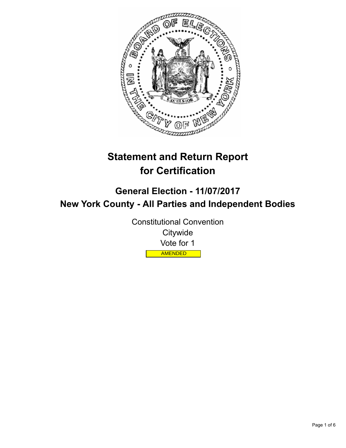

# **Statement and Return Report for Certification**

## **General Election - 11/07/2017 New York County - All Parties and Independent Bodies**

Constitutional Convention **Citywide** Vote for 1 AMENDED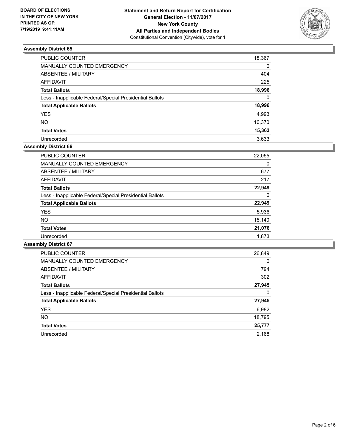

| PUBLIC COUNTER                                           | 18,367   |
|----------------------------------------------------------|----------|
| <b>MANUALLY COUNTED EMERGENCY</b>                        | 0        |
| <b>ABSENTEE / MILITARY</b>                               | 404      |
| <b>AFFIDAVIT</b>                                         | 225      |
| <b>Total Ballots</b>                                     | 18,996   |
| Less - Inapplicable Federal/Special Presidential Ballots | $\Omega$ |
| <b>Total Applicable Ballots</b>                          | 18,996   |
| <b>YES</b>                                               | 4,993    |
| <b>NO</b>                                                | 10,370   |
| <b>Total Votes</b>                                       | 15,363   |
| Unrecorded                                               | 3.633    |

## **Assembly District 66**

| 22,055 |
|--------|
| 0      |
| 677    |
| 217    |
| 22,949 |
| 0      |
| 22,949 |
| 5,936  |
| 15,140 |
| 21,076 |
| 1,873  |
|        |

| <b>PUBLIC COUNTER</b>                                    | 26,849   |
|----------------------------------------------------------|----------|
| <b>MANUALLY COUNTED EMERGENCY</b>                        | $\Omega$ |
| ABSENTEE / MILITARY                                      | 794      |
| <b>AFFIDAVIT</b>                                         | 302      |
| <b>Total Ballots</b>                                     | 27,945   |
| Less - Inapplicable Federal/Special Presidential Ballots | 0        |
| <b>Total Applicable Ballots</b>                          | 27,945   |
| <b>YES</b>                                               | 6,982    |
| NO.                                                      | 18,795   |
| <b>Total Votes</b>                                       | 25,777   |
| Unrecorded                                               | 2.168    |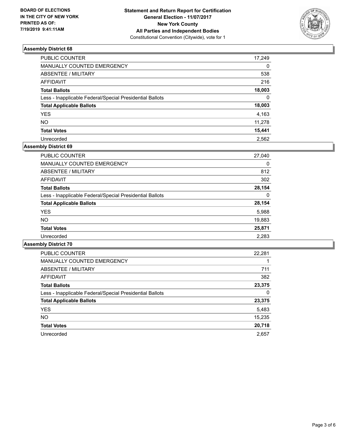

| PUBLIC COUNTER                                           | 17,249   |
|----------------------------------------------------------|----------|
| <b>MANUALLY COUNTED EMERGENCY</b>                        | $\Omega$ |
| ABSENTEE / MILITARY                                      | 538      |
| <b>AFFIDAVIT</b>                                         | 216      |
| <b>Total Ballots</b>                                     | 18,003   |
| Less - Inapplicable Federal/Special Presidential Ballots | $\Omega$ |
| <b>Total Applicable Ballots</b>                          | 18,003   |
| <b>YES</b>                                               | 4,163    |
| <b>NO</b>                                                | 11,278   |
| <b>Total Votes</b>                                       | 15,441   |
| Unrecorded                                               | 2.562    |

## **Assembly District 69**

| PUBLIC COUNTER                                           | 27,040 |
|----------------------------------------------------------|--------|
| <b>MANUALLY COUNTED EMERGENCY</b>                        | 0      |
| ABSENTEE / MILITARY                                      | 812    |
| AFFIDAVIT                                                | 302    |
| <b>Total Ballots</b>                                     | 28,154 |
| Less - Inapplicable Federal/Special Presidential Ballots | 0      |
| <b>Total Applicable Ballots</b>                          | 28,154 |
| <b>YES</b>                                               | 5,988  |
| NO.                                                      | 19,883 |
| <b>Total Votes</b>                                       | 25,871 |
| Unrecorded                                               | 2,283  |

| <b>PUBLIC COUNTER</b>                                    | 22,281 |
|----------------------------------------------------------|--------|
| <b>MANUALLY COUNTED EMERGENCY</b>                        |        |
| ABSENTEE / MILITARY                                      | 711    |
| AFFIDAVIT                                                | 382    |
| <b>Total Ballots</b>                                     | 23,375 |
| Less - Inapplicable Federal/Special Presidential Ballots | 0      |
| <b>Total Applicable Ballots</b>                          | 23,375 |
| <b>YES</b>                                               | 5,483  |
| <b>NO</b>                                                | 15,235 |
| <b>Total Votes</b>                                       | 20,718 |
| Unrecorded                                               | 2,657  |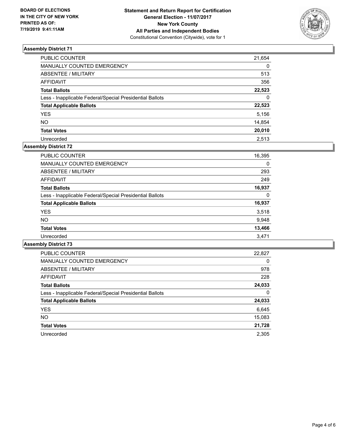

| PUBLIC COUNTER                                           | 21,654   |
|----------------------------------------------------------|----------|
| <b>MANUALLY COUNTED EMERGENCY</b>                        | $\Omega$ |
| ABSENTEE / MILITARY                                      | 513      |
| <b>AFFIDAVIT</b>                                         | 356      |
| <b>Total Ballots</b>                                     | 22,523   |
| Less - Inapplicable Federal/Special Presidential Ballots | $\Omega$ |
| <b>Total Applicable Ballots</b>                          | 22,523   |
| <b>YES</b>                                               | 5,156    |
| <b>NO</b>                                                | 14,854   |
| <b>Total Votes</b>                                       | 20,010   |
| Unrecorded                                               | 2.513    |

## **Assembly District 72**

| <b>PUBLIC COUNTER</b>                                    | 16,395 |
|----------------------------------------------------------|--------|
| <b>MANUALLY COUNTED EMERGENCY</b>                        | 0      |
| ABSENTEE / MILITARY                                      | 293    |
| AFFIDAVIT                                                | 249    |
| <b>Total Ballots</b>                                     | 16,937 |
| Less - Inapplicable Federal/Special Presidential Ballots | 0      |
| <b>Total Applicable Ballots</b>                          | 16,937 |
| <b>YES</b>                                               | 3,518  |
| NO.                                                      | 9,948  |
| <b>Total Votes</b>                                       | 13,466 |
| Unrecorded                                               | 3.471  |

| <b>PUBLIC COUNTER</b>                                    | 22,827   |
|----------------------------------------------------------|----------|
| <b>MANUALLY COUNTED EMERGENCY</b>                        | $\Omega$ |
| ABSENTEE / MILITARY                                      | 978      |
| <b>AFFIDAVIT</b>                                         | 228      |
| <b>Total Ballots</b>                                     | 24,033   |
| Less - Inapplicable Federal/Special Presidential Ballots | 0        |
| <b>Total Applicable Ballots</b>                          | 24,033   |
| <b>YES</b>                                               | 6,645    |
| NO.                                                      | 15,083   |
| <b>Total Votes</b>                                       | 21,728   |
| Unrecorded                                               | 2.305    |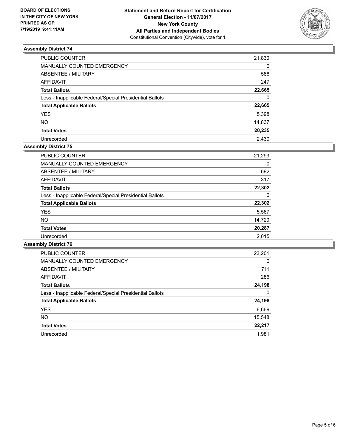

| PUBLIC COUNTER                                           | 21,830   |
|----------------------------------------------------------|----------|
| <b>MANUALLY COUNTED EMERGENCY</b>                        | $\Omega$ |
| <b>ABSENTEE / MILITARY</b>                               | 588      |
| <b>AFFIDAVIT</b>                                         | 247      |
| <b>Total Ballots</b>                                     | 22,665   |
| Less - Inapplicable Federal/Special Presidential Ballots | $\Omega$ |
| <b>Total Applicable Ballots</b>                          | 22,665   |
| <b>YES</b>                                               | 5,398    |
| <b>NO</b>                                                | 14,837   |
| <b>Total Votes</b>                                       | 20,235   |
| Unrecorded                                               | 2.430    |

## **Assembly District 75**

| <b>PUBLIC COUNTER</b>                                    | 21,293 |
|----------------------------------------------------------|--------|
| <b>MANUALLY COUNTED EMERGENCY</b>                        | 0      |
| ABSENTEE / MILITARY                                      | 692    |
| <b>AFFIDAVIT</b>                                         | 317    |
| <b>Total Ballots</b>                                     | 22,302 |
| Less - Inapplicable Federal/Special Presidential Ballots | 0      |
| <b>Total Applicable Ballots</b>                          | 22,302 |
| <b>YES</b>                                               | 5,567  |
| NO.                                                      | 14,720 |
| <b>Total Votes</b>                                       | 20,287 |
| Unrecorded                                               | 2.015  |

| <b>PUBLIC COUNTER</b>                                    | 23,201   |
|----------------------------------------------------------|----------|
| <b>MANUALLY COUNTED EMERGENCY</b>                        | $\Omega$ |
| ABSENTEE / MILITARY                                      | 711      |
| <b>AFFIDAVIT</b>                                         | 286      |
| <b>Total Ballots</b>                                     | 24,198   |
| Less - Inapplicable Federal/Special Presidential Ballots | 0        |
| <b>Total Applicable Ballots</b>                          | 24,198   |
| <b>YES</b>                                               | 6,669    |
| <b>NO</b>                                                | 15,548   |
| <b>Total Votes</b>                                       | 22,217   |
| Unrecorded                                               | 1.981    |